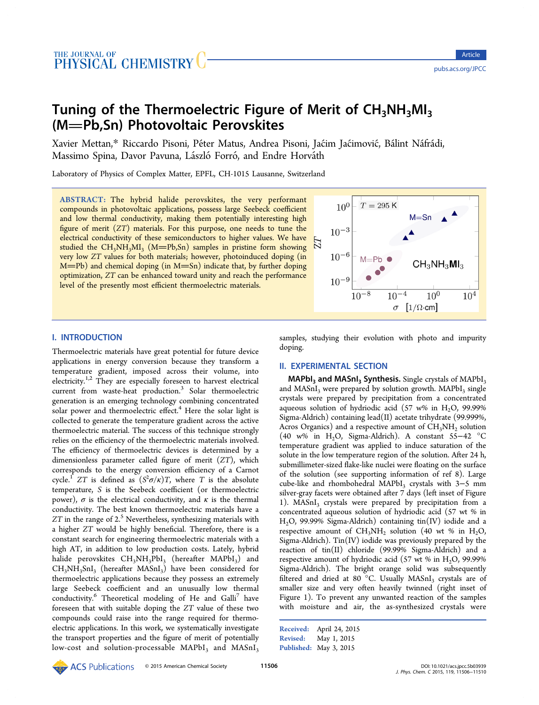# Tuning of the Thermoelectric Figure of Merit of  $CH_3NH_3MI_3$ (M=Pb,Sn) Photovoltaic Perovskites

Xavier Mettan,\* Riccardo Pisoni, Péter Matus, Andrea Pisoni, Jaćim Jaćimović, Bálint Náfrádi, Massimo Spin[a,](#page-3-0) Davor Pavuna, László Forró, and Endre Horváth

Laboratory of Physics of Complex Matter, EPFL, CH-1015 Lausanne, Switzerland

ABSTRACT: The hybrid halide perovskites, the very performant compounds in photovoltaic applications, possess large Seebeck coefficient and low thermal conductivity, making them potentially interesting high figure of merit (ZT) materials. For this purpose, one needs to tune the electrical conductivity of these semiconductors to higher values. We have studied the  $CH_3NH_3MI_3$  (M=Pb,Sn) samples in pristine form showing very low ZT values for both materials; however, photoinduced doping (in  $M=Pb$ ) and chemical doping (in  $M=Sn$ ) indicate that, by further doping optimization, ZT can be enhanced toward unity and reach the performance level of the presently most efficient thermoelectric materials.



# I. INTRODUCTION

Thermoelectric materials have great potential for future device applications in energy conversion because they transform a temperature gradient, imposed across their volume, into electricity.<sup>1,2</sup> They are especially foreseen to harvest electrical current from waste-heat production.<sup>3</sup> Solar thermoelectric generatio[n is](#page-3-0) an emerging technology combining concentrated solar power and thermoelectric effect.<sup>[4](#page-3-0)</sup> Here the solar light is collected to generate the temperature gradient across the active thermoelectric material. The success [of](#page-3-0) this technique strongly relies on the efficiency of the thermoelectric materials involved. The efficiency of thermoelectric devices is determined by a dimensionless parameter called figure of merit (ZT), which corresponds to the energy conversion efficiency of a Carnot cycle.<sup>1</sup> ZT is defined as  $(S^2\sigma/\kappa)T$ , where T is the absolute temperature, S is the Seebeck coefficient (or thermoelectric powe[r\)](#page-3-0),  $\sigma$  is the electrical conductivity, and  $\kappa$  is the thermal conductivity. The best known thermoelectric materials have a  $ZT$  in the range of  $2<sup>5</sup>$  Nevertheless, synthesizing materials with a higher ZT would be highly beneficial. Therefore, there is a constant search for e[n](#page-3-0)gineering thermoelectric materials with a high AT, in addition to low production costs. Lately, hybrid halide perovskites  $CH_3NH_3PbI_3$  (hereafter MAPbI<sub>3</sub>) and  $CH<sub>3</sub>NH<sub>3</sub>SnI<sub>3</sub>$  (hereafter MASnI<sub>3</sub>) have been considered for thermoelectric applications because they possess an extremely large Seebeck coefficient and an unusually low thermal conductivity.<sup>6</sup> Theoretical modeling of He and Galli<sup>7</sup> have foreseen that with suitable doping the ZT value of these two compounds [c](#page-3-0)ould raise into the range required for t[he](#page-3-0)rmoelectric applications. In this work, we systematically investigate the transport properties and the figure of merit of potentially low-cost and solution-processable  $MAPbI<sub>3</sub>$  and  $MASnI<sub>3</sub>$ 

samples, studying their evolution with photo and impurity doping.

# II. EXPERIMENTAL SECTION

 $MAPbl$ <sub>3</sub> and MASnI<sub>3</sub> Synthesis. Single crystals of MAPbI<sub>3</sub> and  $MASnI<sub>3</sub>$  were prepared by solution growth.  $MAPbI<sub>3</sub>$  single crystals were prepared by precipitation from a concentrated aqueous solution of hydriodic acid (57 w% in  $H<sub>2</sub>O$ , 99.99% Sigma-Aldrich) containing lead(II) acetate trihydrate (99.999%, Acros Organics) and a respective amount of  $CH<sub>3</sub>NH<sub>2</sub>$  solution (40 w% in H<sub>2</sub>O, Sigma-Aldrich). A constant 55−42 °C temperature gradient was applied to induce saturation of the solute in the low temperature region of the solution. After 24 h, submillimeter-sized flake-like nuclei were floating on the surface of the solution (see supporting information of ref 8). Large cube-like and rhombohedral MAPbI3 crystals with 3-5 mm silver-gray facets were obtained after 7 days (left inset [o](#page-3-0)f Figure 1). MASnI<sub>3</sub> crystals were prepared by precipitation from a concentrated aqueous solution of hydriodic acid (57 wt % in [H](#page-1-0)2O, 99.99% Sigma-Aldrich) containing tin(IV) iodide and a respective amount of  $CH_3NH_2$  solution (40 wt % in H<sub>2</sub>O, Sigma-Aldrich).  $\text{Tim}(IV)$  iodide was previously prepared by the reaction of  $tin(II)$  chloride (99.99% Sigma-Aldrich) and a respective amount of hydriodic acid  $(57 \text{ wt } % 99.99\%)$ Sigma-Aldrich). The bright orange solid was subsequently filtered and dried at 80 °C. Usually  $MASnI<sub>3</sub>$  crystals are of smaller size and very often heavily twinned (right inset of Figure 1). To prevent any unwanted reaction of the samples with moisture and air, the as-synthesized crystals were

Received: April 24, 2015 Revised: May 1, 2015 Published: May 3, 2015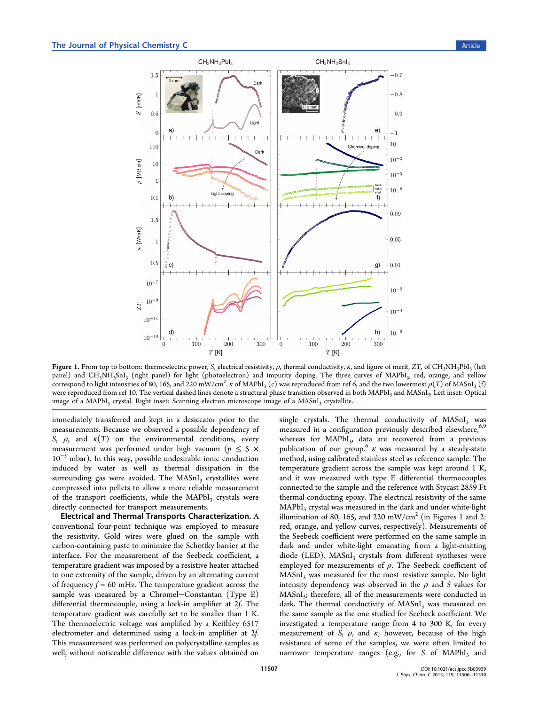<span id="page-1-0"></span>

Figure 1. From top to bottom: thermoelectric power, S, electrical resistivity,  $\rho$ , thermal conductivity,  $\kappa$ , and figure of merit, ZT, of CH<sub>3</sub>NH<sub>3</sub>PbI<sub>3</sub> (left panel) and CH<sub>3</sub>NH<sub>3</sub>SnI<sub>3</sub> (right panel) for light (photoelectron) and impurity doping. The three curves of MAPbI<sub>3</sub>, red, orange, and yellow correspond to light intensities of 80, 165, and 220 mW/cm<sup>2</sup>.  $\kappa$  of MAPbI<sub>3</sub> (c) was reproduced from ref 6, and the two lowermost  $\rho(T)$  of MASnI<sub>3</sub> (f) were reproduced from ref 10. The vertical dashed lines denote a structural phase transition observed in both MAPbI<sub>3</sub> and MASnI<sub>3</sub>. Left inset: Optical image of a  $MAPbI<sub>3</sub>$  crystal[.](#page-3-0) Right inset: Scanning electron microscope image of a  $MASnI<sub>3</sub>$  crystallite.

immediately transferre[d](#page-3-0) [a](#page-3-0)nd kept in a desiccator prior to the measurements. Because we observed a possible dependency of S,  $\rho$ , and  $\kappa(T)$  on the environmental conditions, every measurement was performed under high vacuum ( $p \leq 5 \times$ 10<sup>−</sup><sup>5</sup> mbar). In this way, possible undesirable ionic conduction induced by water as well as thermal dissipation in the surrounding gas were avoided. The  $MASnI<sub>3</sub>$  crystallites were compressed into pellets to allow a more reliable measurement of the transport coefficients, while the  $MAPbI<sub>3</sub>$  crystals were directly connected for transport measurements.

Electrical and Thermal Transports Characterization. A conventional four-point technique was employed to measure the resistivity. Gold wires were glued on the sample with carbon-containing paste to minimize the Schottky barrier at the interface. For the measurement of the Seebeck coefficient, a temperature gradient was imposed by a resistive heater attached to one extremity of the sample, driven by an alternating current of frequency  $f = 60$  mHz. The temperature gradient across the sample was measured by a Chromel−Constantan (Type E) differential thermocouple, using a lock-in amplifier at 2f. The temperature gradient was carefully set to be smaller than 1 K. The thermoelectric voltage was amplified by a Keithley 6517 electrometer and determined using a lock-in amplifier at 2f. This measurement was performed on polycrystalline samples as well, without noticeable difference with the values obtained on

single crystals. The thermal conductivity of  $MASnI<sub>3</sub>$  was measured in a configuration previously described elsewhere,<sup>6,9</sup> whereas for MAPbI<sub>3</sub>, data are recovered from a previous publication of our group.<sup>6</sup>  $\kappa$  was measured by a steady-st[ate](#page-3-0) method, using calibrated stainless steel as reference sample. The temperature gradient acr[oss](#page-3-0) the sample was kept around 1 K, and it was measured with type E differential thermocouples connected to the sample and the reference with Stycast 2859 Ft thermal conducting epoxy. The electrical resistivity of the same  $MAPbI<sub>3</sub>$  crystal was measured in the dark and under white-light illumination of 80, 165, and 220 mW/cm<sup>2</sup> (in Figures 1 and 2: red, orange, and yellow curves, respectively). Measurements of the Seebeck coefficient were performed on the same sample [in](#page-2-0) dark and under white-light emanating from a light-emitting diode (LED).  $MASnI<sub>3</sub>$  crystals from different syntheses were employed for measurements of  $\rho$ . The Seebeck coefficient of MASnI<sub>3</sub> was measured for the most resistive sample. No light intensity dependency was observed in the  $\rho$  and S values for  $MASnI<sub>3</sub>$ ; therefore, all of the measurements were conducted in dark. The thermal conductivity of  $MASnI<sub>3</sub>$  was measured on the same sample as the one studied for Seebeck coefficient. We investigated a temperature range from 4 to 300 K, for every measurement of S,  $\rho$ , and  $\kappa$ ; however, because of the high resistance of some of the samples, we were often limited to narrower temperature ranges (e.g., for S of  $MAPbI<sub>3</sub>$  and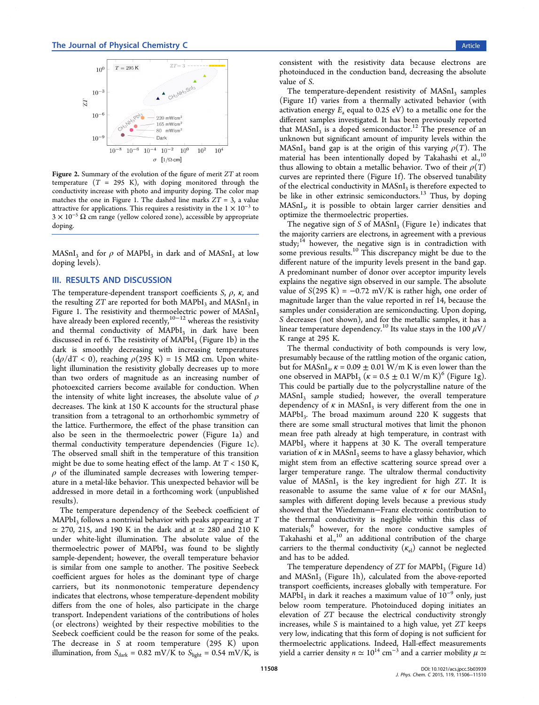<span id="page-2-0"></span>

Figure 2. Summary of the evolution of the figure of merit ZT at room temperature  $(T = 295 \text{ K})$ , with doping monitored through the conductivity increase with photo and impurity doping. The color map matches the one in Figure 1. The dashed line marks  $ZT = 3$ , a value attractive for applications. This requires a resistivity in the  $1 \times 10^{-3}$  to  $3 \times 10^{-5} \Omega$  cm range (yell[ow](#page-1-0) colored zone), accessible by appropriate doping.

 $MASnI<sub>3</sub>$  and for  $\rho$  of  $MAPbI<sub>3</sub>$  in dark and of  $MASnI<sub>3</sub>$  at low doping levels).

## III. RESULTS AND DISCUSSION

The temperature-dependent transport coefficients S,  $\rho$ ,  $\kappa$ , and the resulting  $ZT$  are reported for both MAPbI<sub>3</sub> and MASnI<sub>3</sub> in Figure 1. The resistivity and thermoelectric power of MASnI<sub>3</sub> have already been explored recently,<sup>10−12</sup> whereas the resistivity and t[her](#page-1-0)mal conductivity of  $MAPbI<sub>3</sub>$  in dark have been discussed in ref 6. The resistivity of  $MAPbI<sub>3</sub>$  $MAPbI<sub>3</sub>$  $MAPbI<sub>3</sub>$  (Figure 1b) in the dark is smoothly decreasing with increasing temperatures  $(d\rho/dT < 0)$ , r[ea](#page-3-0)ching  $\rho(295 \text{ K}) = 15 \text{ M}\Omega$  cm. U[po](#page-1-0)n whitelight illumination the resistivity globally decreases up to more than two orders of magnitude as an increasing number of photoexcited carriers become available for conduction. When the intensity of white light increases, the absolute value of  $\rho$ decreases. The kink at 150 K accounts for the structural phase transition from a tetragonal to an orthorhombic symmetry of the lattice. Furthermore, the effect of the phase transition can also be seen in the thermoelectric power (Figure 1a) and thermal conductivity temperature dependencies (Figure 1c). The observed small shift in the temperature of this t[ra](#page-1-0)nsition might be due to some heating effect of the lamp. At  $T < 150$  $T < 150$  K,  $\rho$  of the illuminated sample decreases with lowering temperature in a metal-like behavior. This unexpected behavior will be addressed in more detail in a forthcoming work (unpublished results).

The temperature dependency of the Seebeck coefficient of  $MAPbI<sub>3</sub>$  follows a nontrivial behavior with peaks appearing at  $T$  $\simeq$  270, 215, and 190 K in the dark and at  $\simeq$  280 and 210 K under white-light illumination. The absolute value of the thermoelectric power of  $MAPbI<sub>3</sub>$  was found to be slightly sample-dependent; however, the overall temperature behavior is similar from one sample to another. The positive Seebeck coefficient argues for holes as the dominant type of charge carriers, but its nonmonotonic temperature dependency indicates that electrons, whose temperature-dependent mobility differs from the one of holes, also participate in the charge transport. Independent variations of the contributions of holes (or electrons) weighted by their respective mobilities to the Seebeck coefficient could be the reason for some of the peaks. The decrease in S at room temperature (295 K) upon illumination, from  $S_{dark} = 0.82$  mV/K to  $S_{light} = 0.54$  mV/K, is

consistent with the resistivity data because electrons are photoinduced in the conduction band, decreasing the absolute value of S.

The temperature-dependent resistivity of  $MASnI<sub>3</sub>$  samples (Figure 1f) varies from a thermally activated behavior (with activation energy  $E_a$  equal to 0.25 eV) to a metallic one for the different [s](#page-1-0)amples investigated. It has been previously reported that  $MASnI<sub>3</sub>$  is a doped semiconductor.<sup>12</sup> The presence of an unknown but significant amount of impurity levels within the MASnI<sub>3</sub> band gap is at the origin of t[his](#page-4-0) varying  $\rho(T)$ . The material has been intentionally doped by Takahashi et al., $^{10}$ thus allowing to obtain a metallic behavior. Two of their  $\rho(T)$ curves are reprinted there (Figure 1f). The observed tunabil[ity](#page-3-0) of the electrical conductivity in MASnI<sub>3</sub> is therefore expected to be like in other extrinsic semico[nd](#page-1-0)uctors.<sup>13</sup> Thus, by doping  $MASnI<sub>3</sub>$ , it is possible to obtain larger carrier densities and optimize the thermoelectric properties.

The negative sign of S of  $MASnI<sub>3</sub>$  (Figure 1e) indicates that the majority carriers are electrons, in agreement with a previous study; $14$  however, the negative sign is in c[on](#page-1-0)tradiction with some previous results.<sup>10</sup> This discrepancy might be due to the differ[ent](#page-4-0) nature of the impurity levels present in the band gap. A predominant numb[er](#page-3-0) of donor over acceptor impurity levels explains the negative sign observed in our sample. The absolute value of  $S(295 K) = -0.72 mV/K$  is rather high, one order of magnitude larger than the value reported in ref 14, because the samples under consideration are semiconducting. Upon doping, S decreases (not shown), and for the metallic s[am](#page-4-0)ples, it has a linear temperature dependency.<sup>10</sup> Its value stays in the 100  $\mu$ V/ K range at 295 K.

The thermal conductivity o[f b](#page-3-0)oth compounds is very low, presumably because of the rattling motion of the organic cation, but for MASnI<sub>3</sub>,  $\kappa = 0.09 \pm 0.01$  W/m K is even lower than the one observed in MAPbI<sub>3</sub> ( $\kappa = 0.5 \pm 0.1$  W/m K)<sup>6</sup> (Figure 1g). This could be partially due to the polycrystalline nature of the MASnI<sub>3</sub> samp[l](#page-3-0)e studied; however, the overall temper[atu](#page-1-0)re dependency of  $\kappa$  in MASnI<sub>3</sub> is very different from the one in MAPbI<sub>3</sub>. The broad maximum around 220 K suggests that there are some small structural motives that limit the phonon mean free path already at high temperature, in contrast with  $MAPbI<sub>3</sub>$  where it happens at 30 K. The overall temperature variation of  $\kappa$  in MASnI<sub>3</sub> seems to have a glassy behavior, which might stem from an effective scattering source spread over a larger temperature range. The ultralow thermal conductivity value of  $MASnI<sub>3</sub>$  is the key ingredient for high  $ZT$ . It is reasonable to assume the same value of  $\kappa$  for our MASnI<sub>3</sub> samples with different doping levels because a previous study showed that the Wiedemann−Franz electronic contribution to the thermal conductivity is negligible within this class of materials;<sup>6</sup> however, for the more conductive samples of Takahashi et al.,<sup>10</sup> an additional contribution of the charge carriers t[o](#page-3-0) the thermal conductivity  $(\kappa_{el})$  cannot be neglected and has to be ad[de](#page-3-0)d.

The temperature dependency of  $ZT$  for MAPbI<sub>3</sub> (Figure 1d) and  $MASnI<sub>3</sub>$  (Figure 1h), calculated from the above-reported transport coefficients, increases globally with temperature. [F](#page-1-0)or MAPbI<sub>3</sub> in dark it rea[ch](#page-1-0)es a maximum value of 10<sup>-9</sup> only, just below room temperature. Photoinduced doping initiates an elevation of ZT because the electrical conductivity strongly increases, while S is maintained to a high value, yet ZT keeps very low, indicating that this form of doping is not sufficient for thermoelectric applications. Indeed, Hall-effect measurements yield a carrier density  $n \simeq 10^{14}$  cm<sup>-3</sup> and a carrier mobility  $\mu \simeq$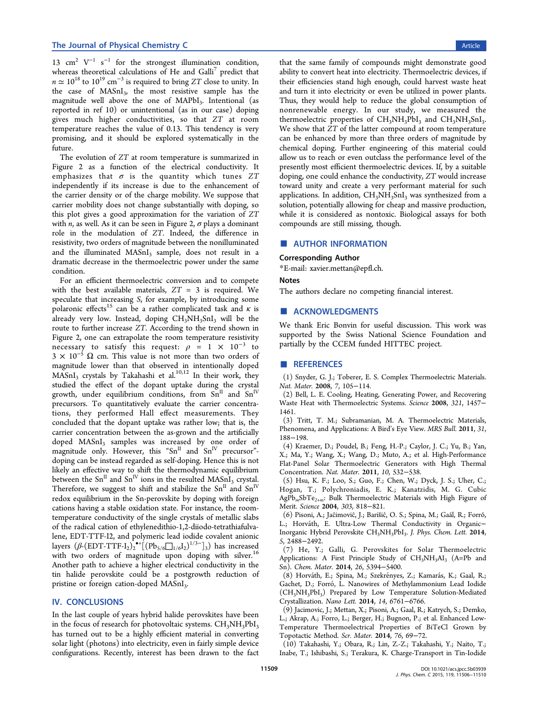<span id="page-3-0"></span>13 cm<sup>2</sup>  $V^{-1}$  s<sup>-1</sup> for the strongest illumination condition, whereas theoretical calculations of He and Galli<sup>7</sup> predict that  $n \approx 10^{18}$  to  $10^{19}$  cm<sup>-3</sup> is required to bring ZT close to unity. In the case of  $MASnI_3$ , the most resistive sample has the magnitude well above the one of MAPbI<sub>3</sub>. Intentional (as reported in ref 10) or unintentional (as in our case) doping gives much higher conductivities, so that ZT at room temperature reaches the value of 0.13. This tendency is very promising, and it should be explored systematically in the future.

The evolution of ZT at room temperature is summarized in Figure 2 as a function of the electrical conductivity. It emphasizes that  $\sigma$  is the quantity which tunes ZT indepen[de](#page-2-0)ntly if its increase is due to the enhancement of the carrier density or of the charge mobility. We suppose that carrier mobility does not change substantially with doping, so this plot gives a good approximation for the variation of ZT with *n*, as well. As it can be seen in Figure 2,  $\sigma$  plays a dominant role in the modulation of ZT. Indeed, the difference in resistivity, two orders of magnitude betwe[en](#page-2-0) the nonilluminated and the illuminated MASnI<sub>3</sub> sample, does not result in a dramatic decrease in the thermoelectric power under the same condition.

For an efficient thermoelectric conversion and to compete with the best available materials,  $ZT = 3$  is required. We speculate that increasing S, for example, by introducing some polaronic effects<sup>15</sup> can be a rather complicated task and  $\kappa$  is already very low. Instead, doping  $CH<sub>3</sub>NH<sub>3</sub>SnI<sub>3</sub>$  will be the route to further [inc](#page-4-0)rease ZT. According to the trend shown in Figure 2, one can extrapolate the room temperature resistivity necessary to satisfy this request:  $\rho = 1 \times 10^{-3}$  to  $3 \times 10^{-5}$  Ω cm. This value is not more than two orders of magnit[ud](#page-2-0)e lower than that observed in intentionally doped  $MASnI<sub>3</sub>$  crystals by Takahashi et al.<sup>10,12</sup> In their work, they studied the effect of the dopant uptake during the crystal growth, under equilibrium condition[s,](#page-4-0) from  $Sn<sup>H</sup>$  and  $Sn<sup>IV</sup>$ precursors. To quantitatively evaluate the carrier concentrations, they performed Hall effect measurements. They concluded that the dopant uptake was rather low; that is, the carrier concentration between the as-grown and the artificially doped MASnI<sub>3</sub> samples was increased by one order of magnitude only. However, this "Sn<sup>II</sup> and  $Sn<sup>IV</sup>$  precursor"doping can be instead regarded as self-doping. Hence this is not likely an effective way to shift the thermodynamic equilibrium between the  $Sn<sup>II</sup>$  and  $Sn<sup>IV</sup>$  ions in the resulted MASnI<sub>3</sub> crystal. Therefore, we suggest to shift and stabilize the  $Sn^{II}$  and  $Sn^{IV}$ redox equilibrium in the Sn-perovskite by doping with foreign cations having a stable oxidation state. For instance, the roomtemperature conductivity of the single crystals of metallic slabs of the radical cation of ethylenedithio-1,2-diiodo-tetrathiafulvalene, EDT-TTF-I2, and polymeric lead iodide covalent anionic layers  $(\beta\text{-}(\text{EDT-TTF-I}_2)_2^{\bullet+}[(\text{Pb}_{5/6}\square_{1/6}\text{I}_2)^{1/3-}]_3)$  has increased with two orders of magnitude upon doping with silver.<sup>16</sup> Another path to achieve a higher electrical conductivity in the tin halide perovskite could be a postgrowth reduction [of](#page-4-0) pristine or foreign cation-doped MASnI<sub>3</sub>.

## IV. CONCLUSIONS

In the last couple of years hybrid halide perovskites have been in the focus of research for photovoltaic systems.  $CH<sub>3</sub>NH<sub>3</sub>PbI<sub>3</sub>$ has turned out to be a highly efficient material in converting solar light (photons) into electricity, even in fairly simple device configurations. Recently, interest has been drawn to the fact

that the same family of compounds might demonstrate good ability to convert heat into electricity. Thermoelectric devices, if their efficiencies stand high enough, could harvest waste heat and turn it into electricity or even be utilized in power plants. Thus, they would help to reduce the global consumption of nonrenewable energy. In our study, we measured the thermoelectric properties of  $CH_3NH_3PbI_3$  and  $CH_3NH_3SnI_3$ . We show that ZT of the latter compound at room temperature can be enhanced by more than three orders of magnitude by chemical doping. Further engineering of this material could allow us to reach or even outclass the performance level of the presently most efficient thermoelectric devices. If, by a suitable doping, one could enhance the conductivity, ZT would increase toward unity and create a very performant material for such applications. In addition,  $CH<sub>3</sub>NH<sub>3</sub>SnI<sub>3</sub>$  was synthesized from a solution, potentially allowing for cheap and massive production, while it is considered as nontoxic. Biological assays for both compounds are still missing, though.

#### ■ AUTHOR INFORMATION

#### Corresponding Author

\*E-mail: xavier.mettan@epfl.ch.

#### **Notes**

The auth[ors declare no compe](mailto:xavier.mettan@epfl.ch)ting financial interest.

#### ■ ACKNOWLEDGMENTS

We thank Eric Bonvin for useful discussion. This work was supported by the Swiss National Science Foundation and partially by the CCEM funded HITTEC project.

#### ■ REFERENCES

(1) Snyder, G. J.; Toberer, E. S. Complex Thermoelectric Materials. Nat. Mater. 2008, 7, 105−114.

(2) Bell, L. E. Cooling, Heating, Generating Power, and Recovering Waste Heat with Thermoelectric Systems. Science 2008, 321, 1457− 1461.

(3) Tritt, T. M.; Subramanian, M. A. Thermoelectric Materials, Phenomena, and Applications: A Bird's Eye View. MRS Bull. 2011, 31, 188−198.

(4) Kraemer, D.; Poudel, B.; Feng, H.-P.; Caylor, J. C.; Yu, B.; Yan, X.; Ma, Y.; Wang, X.; Wang, D.; Muto, A.; et al. High-Performance Flat-Panel Solar Thermoelectric Generators with High Thermal Concentration. Nat. Mater. 2011, 10, 532−538.

(5) Hsu, K. F.; Loo, S.; Guo, F.; Chen, W.; Dyck, J. S.; Uher, C.; Hogan, T.; Polychroniadis, E. K.; Kanatzidis, M. G. Cubic  $AgPb<sub>m</sub>SbTe<sub>2+m</sub>$ : Bulk Thermoelectric Materials with High Figure of Merit. Science 2004, 303, 818−821.

(6) Pisoni, A.; Jaćimović, J.; Barišić, O. S.; Spina, M.; Gaál, R.; Forró, L.; Horváth, E. Ultra-Low Thermal Conductivity in Organic-Inorganic Hybrid Perovskite CH<sub>3</sub>NH<sub>3</sub>PbI<sub>3</sub>. J. Phys. Chem. Lett. 2014, 5, 2488−2492.

(7) He, Y.; Galli, G. Perovskites for Solar Thermoelectric Applications: A First Principle Study of  $CH<sub>3</sub>NH<sub>3</sub>AI<sub>3</sub>$  (A=Pb and Sn). Chem. Mater. 2014, 26, 5394−5400.

(8) Horváth, E.; Spina, M.; Szekrényes, Z.; Kamarás, K.; Gaal, R.; Gachet, D.; Forró, L. Nanowires of Methylammonium Lead Iodide (CH3NH3PbI3) Prepared by Low Temperature Solution-Mediated Crystallization. Nano Lett. 2014, 14, 6761−6766.

(9) Jacimovic, J.; Mettan, X.; Pisoni, A.; Gaal, R.; Katrych, S.; Demko, L.; Akrap, A.; Forro, L.; Berger, H.; Bugnon, P.; et al. Enhanced Low-Temperature Thermoelectrical Properties of BiTeCl Grown by Topotactic Method. Scr. Mater. 2014, 76, 69−72.

(10) Takahashi, Y.; Obara, R.; Lin, Z.-Z.; Takahashi, Y.; Naito, T.; Inabe, T.; Ishibashi, S.; Terakura, K. Charge-Transport in Tin-Iodide